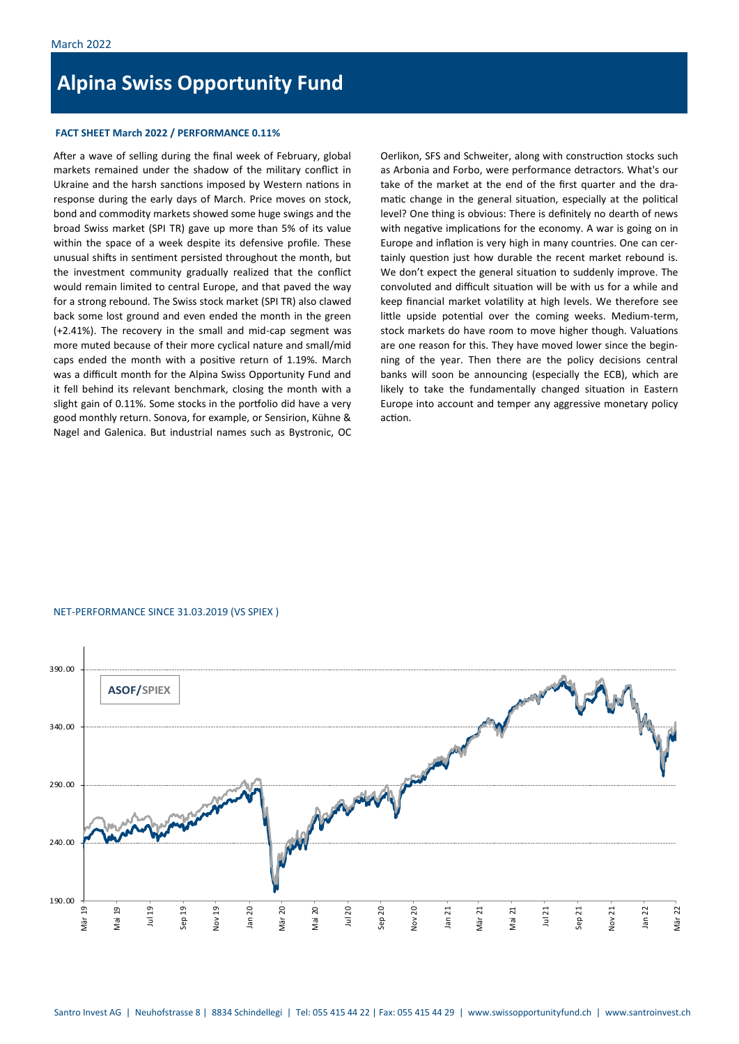# **Alpina Swiss Opportunity Fund**

## **FACT SHEET March 2022 / PERFORMANCE 0.11%**

After a wave of selling during the final week of February, global markets remained under the shadow of the military conflict in Ukraine and the harsh sanctions imposed by Western nations in response during the early days of March. Price moves on stock, bond and commodity markets showed some huge swings and the broad Swiss market (SPI TR) gave up more than 5% of its value within the space of a week despite its defensive profile. These unusual shifts in sentiment persisted throughout the month, but the investment community gradually realized that the conflict would remain limited to central Europe, and that paved the way for a strong rebound. The Swiss stock market (SPI TR) also clawed back some lost ground and even ended the month in the green (+2.41%). The recovery in the small and mid-cap segment was more muted because of their more cyclical nature and small/mid caps ended the month with a positive return of 1.19%. March was a difficult month for the Alpina Swiss Opportunity Fund and it fell behind its relevant benchmark, closing the month with a slight gain of 0.11%. Some stocks in the portfolio did have a very good monthly return. Sonova, for example, or Sensirion, Kühne & Nagel and Galenica. But industrial names such as Bystronic, OC Oerlikon, SFS and Schweiter, along with construction stocks such as Arbonia and Forbo, were performance detractors. What's our take of the market at the end of the first quarter and the dramatic change in the general situation, especially at the political level? One thing is obvious: There is definitely no dearth of news with negative implications for the economy. A war is going on in Europe and inflation is very high in many countries. One can certainly question just how durable the recent market rebound is. We don't expect the general situation to suddenly improve. The convoluted and difficult situation will be with us for a while and keep financial market volatility at high levels. We therefore see little upside potential over the coming weeks. Medium-term, stock markets do have room to move higher though. Valuations are one reason for this. They have moved lower since the beginning of the year. Then there are the policy decisions central banks will soon be announcing (especially the ECB), which are likely to take the fundamentally changed situation in Eastern Europe into account and temper any aggressive monetary policy action.

#### NET-PERFORMANCE SINCE 31.03.2019 (VS SPIEX )